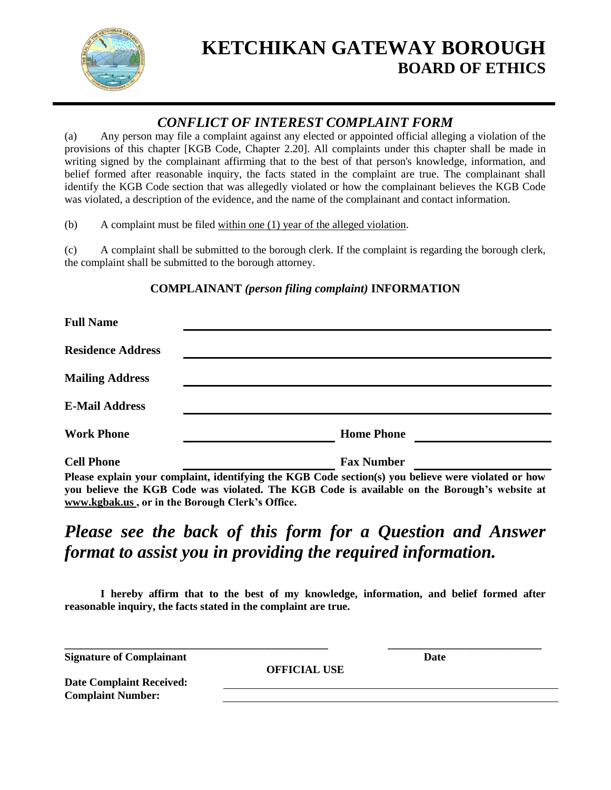

# **KETCHIKAN GATEWAY BOROUGH BOARD OF ETHICS**

### *CONFLICT OF INTEREST COMPLAINT FORM*

(a) Any person may file a complaint against any elected or appointed official alleging a violation of the provisions of this chapter [KGB Code, Chapter 2.20]. All complaints under this chapter shall be made in writing signed by the complainant affirming that to the best of that person's knowledge, information, and belief formed after reasonable inquiry, the facts stated in the complaint are true. The complainant shall identify the KGB Code section that was allegedly violated or how the complainant believes the KGB Code was violated, a description of the evidence, and the name of the complainant and contact information.

(b) A complaint must be filed within one (1) year of the alleged violation.

(c) A complaint shall be submitted to the borough clerk. If the complaint is regarding the borough clerk, the complaint shall be submitted to the borough attorney.

#### **COMPLAINANT** *(person filing complaint)* **INFORMATION**

| <b>Full Name</b>         |                                                                                                                                                                                                     |
|--------------------------|-----------------------------------------------------------------------------------------------------------------------------------------------------------------------------------------------------|
| <b>Residence Address</b> |                                                                                                                                                                                                     |
| <b>Mailing Address</b>   |                                                                                                                                                                                                     |
| <b>E-Mail Address</b>    |                                                                                                                                                                                                     |
| <b>Work Phone</b>        | <b>Home Phone</b>                                                                                                                                                                                   |
| <b>Cell Phone</b>        | <b>Fax Number</b>                                                                                                                                                                                   |
|                          | Please explain your complaint, identifying the KGB Code section(s) you believe were violated or how<br>veu believe the KCD Code was violated. The KCD Code is evollable on the Denough's website at |

**you believe the KGB Code was violated. The KGB Code is available on the Borough's website at www.kgbak.us , or in the Borough Clerk's Office.**

# *Please see the back of this form for a Question and Answer format to assist you in providing the required information.*

**I hereby affirm that to the best of my knowledge, information, and belief formed after reasonable inquiry, the facts stated in the complaint are true.**

**\_\_\_\_\_\_\_\_\_\_\_\_\_\_\_\_\_\_\_\_\_\_\_\_\_\_\_\_\_\_\_\_\_\_\_\_\_\_\_\_\_\_\_\_\_\_\_\_ \_\_\_\_\_\_\_\_\_\_\_\_\_\_\_\_\_\_\_\_\_\_\_\_\_\_\_\_ Signature of Complainant Date**

**OFFICIAL USE**

**Date Complaint Received: Complaint Number:**